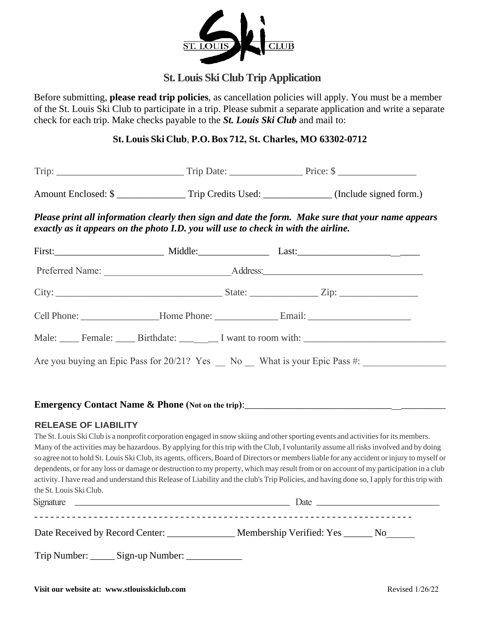

# **St. Louis Ski Club Trip Application**

Before submitting, **please read trip policies**, as cancellation policies will apply. You must be a member of the St. Louis Ski Club to participate in a trip. Please submit a separate application and write a separate check for each trip. Make checks payable to the *St. Louis Ski Club* and mail to:

### **St. Louis Ski Club**, **P.O. Box 712, St. Charles, MO 63302-0712**

| Trip: | Trin       | $P_{T1} \cap \rho^*$ |
|-------|------------|----------------------|
|       | <b>TTT</b> | .                    |
|       |            |                      |

Amount Enclosed: \$ \_\_\_\_\_\_\_\_\_\_\_\_\_\_\_\_\_\_ Trip Credits Used: \_\_\_\_\_\_\_\_\_\_\_\_\_\_ (Include signed form.)

*Please print all information clearly then sign and date the form. Make sure that your name appears exactly as it appears on the photo I.D. you will use to check in with the airline.*

|  | Cell Phone: _____________________Home Phone: ___________________Email: _____________________________ |
|--|------------------------------------------------------------------------------------------------------|
|  | Male: Female: Birthdate: I want to room with:                                                        |
|  | Are you buying an Epic Pass for 20/21? Yes No What is your Epic Pass #:                              |

# **Emergency Contact Name & Phone (Not on the trip)**:\_\_\_\_\_\_\_\_\_\_\_\_\_\_\_\_\_\_\_\_\_\_\_\_\_\_\_\_\_\_\_\_\_\_\_\_\_\_\_\_\_

### **RELEASE OF LIABILITY**

The St. Louis Ski Club is a nonprofit corporation engaged in snow skiing and other sporting events and activities for its members. Many of the activities may be hazardous. By applying for this trip with the Club, I voluntarily assume all risks involved and by doing so agree not to hold St. Louis Ski Club, its agents, officers, Board of Directors or members liable for any accident or injury to myself or dependents, or for any loss or damage or destruction to my property, which may result from or on account of my participation in a club activity. I have read and understand this Release of Liability and the club's Trip Policies, and having done so, I apply for this trip with the St. Louis Ski Club.

| Signature<br><u> 1989 - Johann Stein, marwolaethau a bhann an t-Amhain ann an t-Amhain an t-Amhain an t-Amhain an t-Amhain an </u> | Date                                 |  |
|------------------------------------------------------------------------------------------------------------------------------------|--------------------------------------|--|
| Date Received by Record Center:                                                                                                    | Membership Verified: Yes ________ No |  |
| Trip Number:<br>_Sign-up Number: _                                                                                                 |                                      |  |